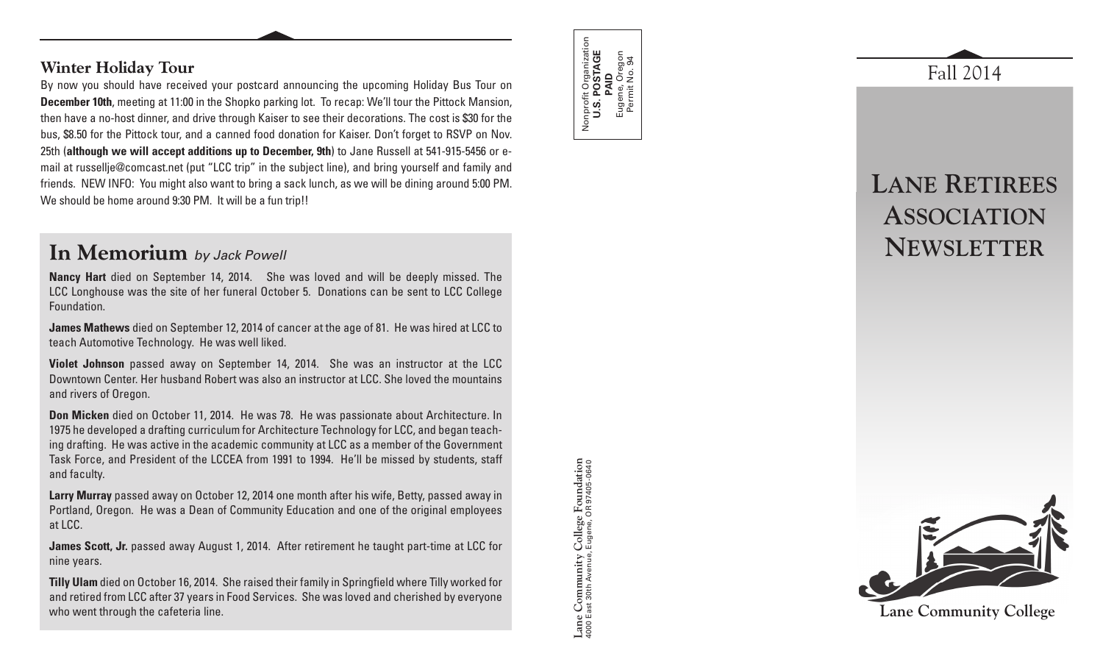### **Winter Holiday Tour**

By now you should have received your postcard announcing the upcoming Holiday Bus Tour on **December 10th**, meeting at 11:00 in the Shopko parking lot. To recap: We'll tour the Pittock Mansion, then have a no-host dinner, and drive through Kaiser to see their decorations. The cost is \$30 for the bus, \$8.50 for the Pittock tour, and a canned food donation for Kaiser. Don't forget to RSVP on Nov. 25th (**although we will accept additions up to December, 9th**) to Jane Russell at 541-915-5456 or email at russellje@comcast.net (put "LCC trip" in the subject line), and bring yourself and family and friends. NEW INFO: You might also want to bring a sack lunch, as we will be dining around 5:00 PM. We should be home around 9:30 PM. It will be a fun trip!!

## **In Memorium** *by Jack Powell*

**Nancy Hart** died on September 14, 2014. She was loved and will be deeply missed. The LCC Longhouse was the site of her funeral October 5. Donations can be sent to LCC College Foundation.

**James Mathews** died on September 12, 2014 of cancer at the age of 81. He was hired at LCC to teach Automotive Technology. He was well liked.

**Violet Johnson** passed away on September 14, 2014. She was an instructor at the LCC Downtown Center. Her husband Robert was also an instructor at LCC. She loved the mountains and rivers of Oregon.

**Don Micken** died on October 11, 2014. He was 78. He was passionate about Architecture. In 1975 he developed a drafting curriculum for Architecture Technology for LCC, and began teaching drafting. He was active in the academic community at LCC as a member of the Government Task Force, and President of the LCCEA from 1991 to 1994. He'll be missed by students, staff and faculty.

**Larry Murray** passed away on October 12, 2014 one month after his wife, Betty, passed away in Portland, Oregon. He was a Dean of Community Education and one of the original employees at LCC.

**James Scott, Jr.** passed away August 1, 2014. After retirement he taught part-time at LCC for nine years.

**Tilly Ulam** died on October 16, 2014. She raised their family in Springfield where Tilly worked for and retired from LCC after 37 years in Food Services. She was loved and cherished by everyone who went through the cafeteria line.



**Lane Community College Foundation** 4000 East 30th Avenue, Eugene, OR 97405-0640

Lane Community

College Foundation<br>Eugene, OR 97405-0640